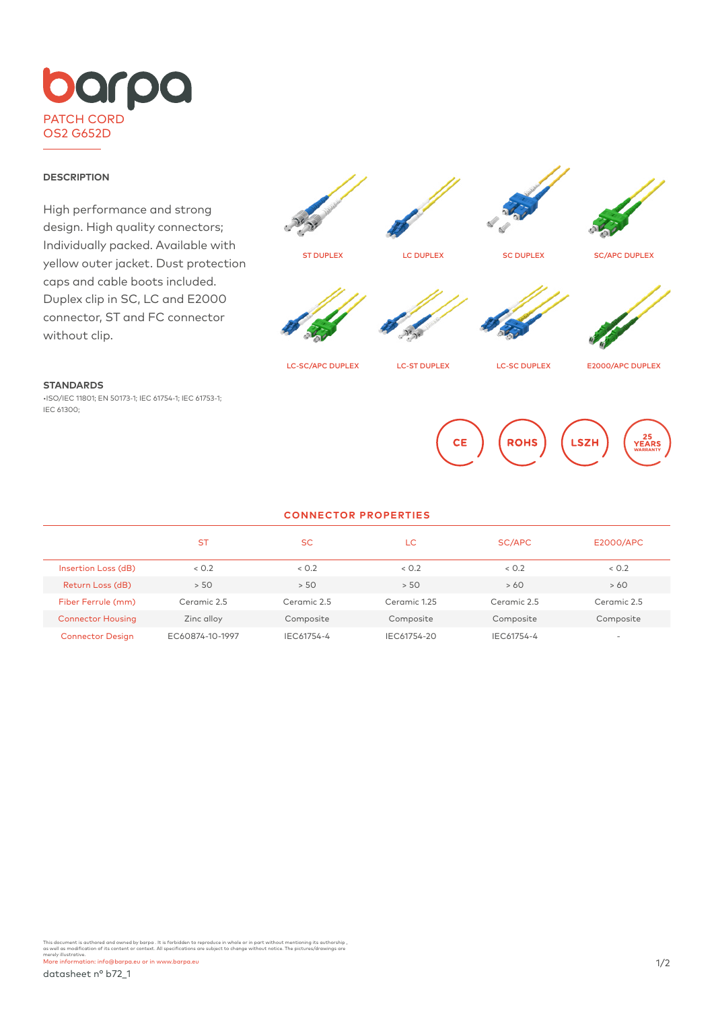barpa PATCH CORD OS2 G652D

## **DESCRIPTION**

High performance and strong design. High quality connectors; Individually packed. Available with yellow outer jacket. Dust protection caps and cable boots included. Duplex clip in SC, LC and E2000 connector, ST and FC connector without clip.



#### **STANDARDS**

•ISO/IEC 11801; EN 50173-1; IEC 61754-1; IEC 61753-1; IEC 61300;



### **CONNECTOR PROPERTIES**

|                          | <b>ST</b>       | <b>SC</b>   | LC           | SC/APC      | <b>E2000/APC</b> |
|--------------------------|-----------------|-------------|--------------|-------------|------------------|
| Insertion Loss (dB)      | < 0.2           | < 0.2       | < 0.2        | < 0.2       | < 0.2            |
| Return Loss (dB)         | > 50            | > 50        | > 50         | >60         | >60              |
| Fiber Ferrule (mm)       | Ceramic 2.5     | Ceramic 2.5 | Ceramic 1.25 | Ceramic 2.5 | Ceramic 2.5      |
| <b>Connector Housing</b> | Zinc alloy      | Composite   | Composite    | Composite   | Composite        |
| <b>Connector Design</b>  | EC60874-10-1997 | IEC61754-4  | IEC61754-20  | IEC61754-4  | $\sim$           |

This document is authored and owned by barpa . It is forbidden to reproduce in whole or in part without mentioning its authorship ,<br>as well as modification of its content or context. All specifications are subject to chang